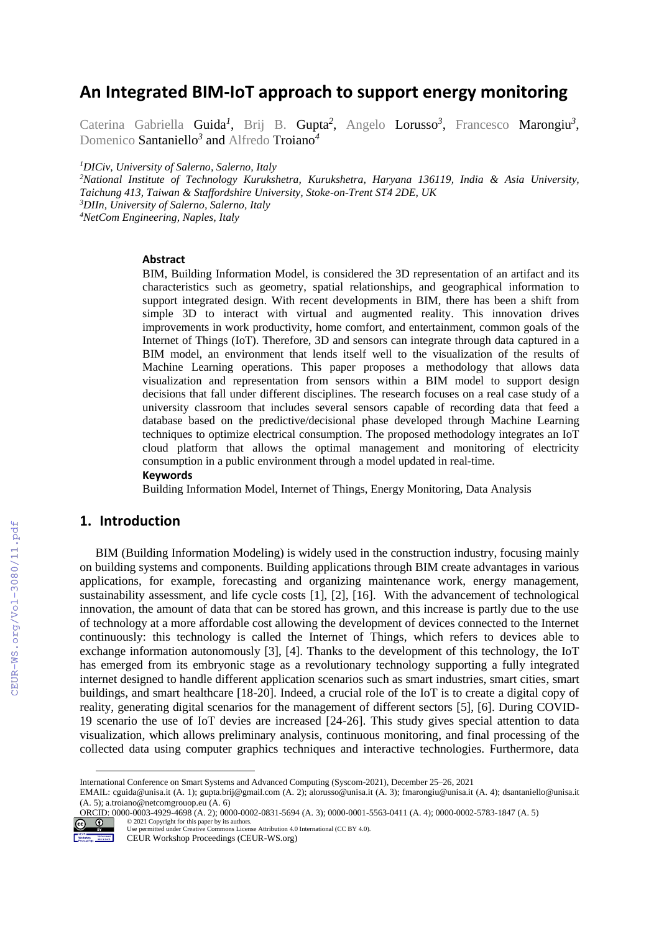# **An Integrated BIM-IoT approach to support energy monitoring**

Caterina Gabriella Guida<sup>1</sup>, Brij B. Gupta<sup>2</sup>, Angelo Lorusso<sup>3</sup>, Francesco Marongiu<sup>3</sup>, Domenico Santaniello*<sup>3</sup>* and Alfredo Troiano*<sup>4</sup>*

*<sup>1</sup>DICiv, University of Salerno, Salerno, Italy*

*National Institute of Technology Kurukshetra, Kurukshetra, Haryana 136119, India & Asia University, Taichung 413, Taiwan & Staffordshire University, Stoke-on-Trent ST4 2DE, UK DIIn, University of Salerno, Salerno, Italy NetCom Engineering, Naples, Italy*

#### **Abstract**

BIM, Building Information Model, is considered the 3D representation of an artifact and its characteristics such as geometry, spatial relationships, and geographical information to support integrated design. With recent developments in BIM, there has been a shift from simple 3D to interact with virtual and augmented reality. This innovation drives improvements in work productivity, home comfort, and entertainment, common goals of the Internet of Things (IoT). Therefore, 3D and sensors can integrate through data captured in a BIM model, an environment that lends itself well to the visualization of the results of Machine Learning operations. This paper proposes a methodology that allows data visualization and representation from sensors within a BIM model to support design decisions that fall under different disciplines. The research focuses on a real case study of a university classroom that includes several sensors capable of recording data that feed a database based on the predictive/decisional phase developed through Machine Learning techniques to optimize electrical consumption. The proposed methodology integrates an IoT cloud platform that allows the optimal management and monitoring of electricity consumption in a public environment through a model updated in real-time.

#### **Keywords 1**

Building Information Model, Internet of Things, Energy Monitoring, Data Analysis

#### **1. Introduction**

BIM (Building Information Modeling) is widely used in the construction industry, focusing mainly on building systems and components. Building applications through BIM create advantages in various applications, for example, forecasting and organizing maintenance work, energy management, sustainability assessment, and life cycle costs [1], [2], [16]. With the advancement of technological innovation, the amount of data that can be stored has grown, and this increase is partly due to the use of technology at a more affordable cost allowing the development of devices connected to the Internet continuously: this technology is called the Internet of Things, which refers to devices able to exchange information autonomously [3], [4]. Thanks to the development of this technology, the IoT has emerged from its embryonic stage as a revolutionary technology supporting a fully integrated internet designed to handle different application scenarios such as smart industries, smart cities, smart buildings, and smart healthcare [18-20]. Indeed, a crucial role of the IoT is to create a digital copy of reality, generating digital scenarios for the management of different sectors [5], [6]. During COVID-19 scenario the use of IoT devies are increased [24-26]. This study gives special attention to data visualization, which allows preliminary analysis, continuous monitoring, and final processing of the collected data using computer graphics techniques and interactive technologies. Furthermore, data

ORCID: 0000-0003-4929-4698 (A. 2); 0000-0002-0831-5694 (A. 3); 0000-0001-5563-0411 (A. 4); 0000-0002-5783-1847 (A. 5) ©️ 2021 Copyright for this paper by its authors.



Use permitted under Creative Commons License Attribution 4.0 International (CC BY 4.0). CEUR Workshop Proceedings (CEUR-WS.org)

International Conference on Smart Systems and Advanced Computing (Syscom-2021), December 25–26, 2021

EMAIL: cguida@unisa.it (A. 1); gupta.brij@gmail.com (A. 2); alorusso@unisa.it (A. 3); fmarongiu@unisa.it (A. 4); dsantaniello@unisa.it (A. 5); a.troiano@netcomgrouop.eu (A. 6)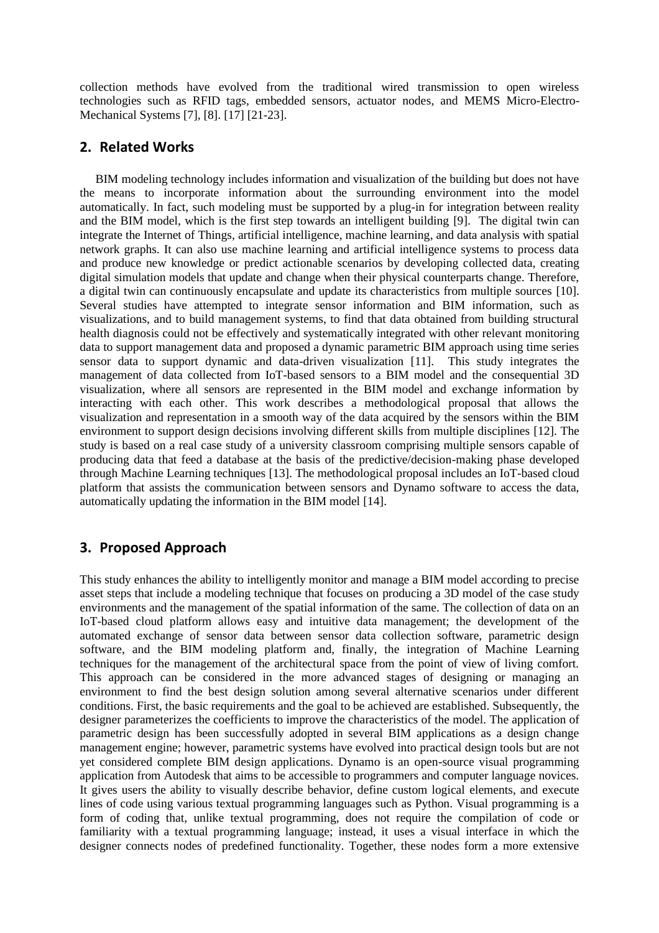collection methods have evolved from the traditional wired transmission to open wireless technologies such as RFID tags, embedded sensors, actuator nodes, and MEMS Micro-Electro-Mechanical Systems [7], [8]. [17] [21-23].

### **2. Related Works**

BIM modeling technology includes information and visualization of the building but does not have the means to incorporate information about the surrounding environment into the model automatically. In fact, such modeling must be supported by a plug-in for integration between reality and the BIM model, which is the first step towards an intelligent building [9]. The digital twin can integrate the Internet of Things, artificial intelligence, machine learning, and data analysis with spatial network graphs. It can also use machine learning and artificial intelligence systems to process data and produce new knowledge or predict actionable scenarios by developing collected data, creating digital simulation models that update and change when their physical counterparts change. Therefore, a digital twin can continuously encapsulate and update its characteristics from multiple sources [10]. Several studies have attempted to integrate sensor information and BIM information, such as visualizations, and to build management systems, to find that data obtained from building structural health diagnosis could not be effectively and systematically integrated with other relevant monitoring data to support management data and proposed a dynamic parametric BIM approach using time series sensor data to support dynamic and data-driven visualization [11]. This study integrates the management of data collected from IoT-based sensors to a BIM model and the consequential 3D visualization, where all sensors are represented in the BIM model and exchange information by interacting with each other. This work describes a methodological proposal that allows the visualization and representation in a smooth way of the data acquired by the sensors within the BIM environment to support design decisions involving different skills from multiple disciplines [12]. The study is based on a real case study of a university classroom comprising multiple sensors capable of producing data that feed a database at the basis of the predictive/decision-making phase developed through Machine Learning techniques [13]. The methodological proposal includes an IoT-based cloud platform that assists the communication between sensors and Dynamo software to access the data, automatically updating the information in the BIM model [14].

# **3. Proposed Approach**

This study enhances the ability to intelligently monitor and manage a BIM model according to precise asset steps that include a modeling technique that focuses on producing a 3D model of the case study environments and the management of the spatial information of the same. The collection of data on an IoT-based cloud platform allows easy and intuitive data management; the development of the automated exchange of sensor data between sensor data collection software, parametric design software, and the BIM modeling platform and, finally, the integration of Machine Learning techniques for the management of the architectural space from the point of view of living comfort. This approach can be considered in the more advanced stages of designing or managing an environment to find the best design solution among several alternative scenarios under different conditions. First, the basic requirements and the goal to be achieved are established. Subsequently, the designer parameterizes the coefficients to improve the characteristics of the model. The application of parametric design has been successfully adopted in several BIM applications as a design change management engine; however, parametric systems have evolved into practical design tools but are not yet considered complete BIM design applications. Dynamo is an open-source visual programming application from Autodesk that aims to be accessible to programmers and computer language novices. It gives users the ability to visually describe behavior, define custom logical elements, and execute lines of code using various textual programming languages such as Python. Visual programming is a form of coding that, unlike textual programming, does not require the compilation of code or familiarity with a textual programming language; instead, it uses a visual interface in which the designer connects nodes of predefined functionality. Together, these nodes form a more extensive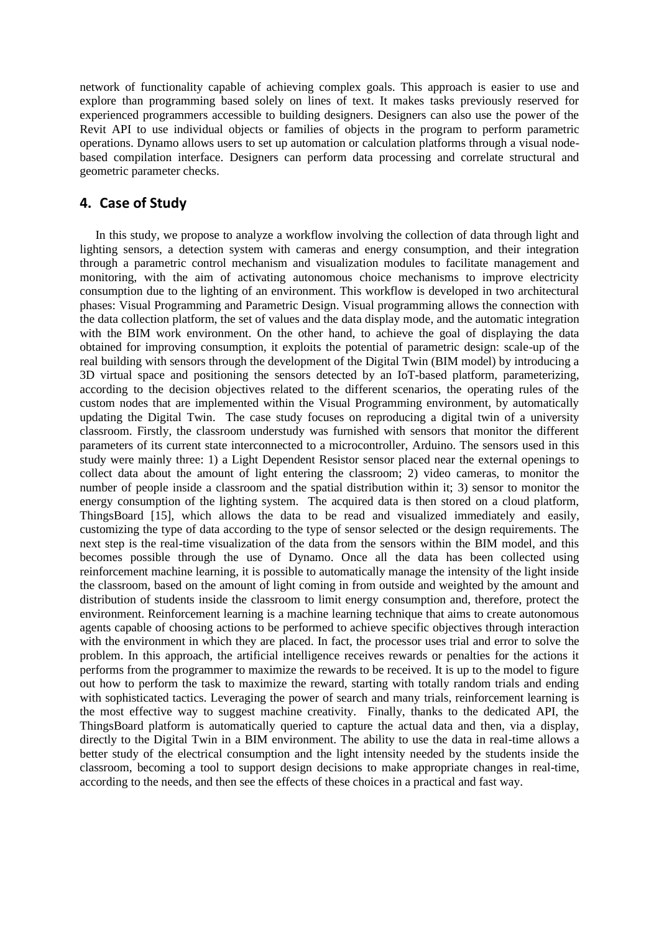network of functionality capable of achieving complex goals. This approach is easier to use and explore than programming based solely on lines of text. It makes tasks previously reserved for experienced programmers accessible to building designers. Designers can also use the power of the Revit API to use individual objects or families of objects in the program to perform parametric operations. Dynamo allows users to set up automation or calculation platforms through a visual nodebased compilation interface. Designers can perform data processing and correlate structural and geometric parameter checks.

### **4. Case of Study**

In this study, we propose to analyze a workflow involving the collection of data through light and lighting sensors, a detection system with cameras and energy consumption, and their integration through a parametric control mechanism and visualization modules to facilitate management and monitoring, with the aim of activating autonomous choice mechanisms to improve electricity consumption due to the lighting of an environment. This workflow is developed in two architectural phases: Visual Programming and Parametric Design. Visual programming allows the connection with the data collection platform, the set of values and the data display mode, and the automatic integration with the BIM work environment. On the other hand, to achieve the goal of displaying the data obtained for improving consumption, it exploits the potential of parametric design: scale-up of the real building with sensors through the development of the Digital Twin (BIM model) by introducing a 3D virtual space and positioning the sensors detected by an IoT-based platform, parameterizing, according to the decision objectives related to the different scenarios, the operating rules of the custom nodes that are implemented within the Visual Programming environment, by automatically updating the Digital Twin. The case study focuses on reproducing a digital twin of a university classroom. Firstly, the classroom understudy was furnished with sensors that monitor the different parameters of its current state interconnected to a microcontroller, Arduino. The sensors used in this study were mainly three: 1) a Light Dependent Resistor sensor placed near the external openings to collect data about the amount of light entering the classroom; 2) video cameras, to monitor the number of people inside a classroom and the spatial distribution within it; 3) sensor to monitor the energy consumption of the lighting system. The acquired data is then stored on a cloud platform, ThingsBoard [15], which allows the data to be read and visualized immediately and easily, customizing the type of data according to the type of sensor selected or the design requirements. The next step is the real-time visualization of the data from the sensors within the BIM model, and this becomes possible through the use of Dynamo. Once all the data has been collected using reinforcement machine learning, it is possible to automatically manage the intensity of the light inside the classroom, based on the amount of light coming in from outside and weighted by the amount and distribution of students inside the classroom to limit energy consumption and, therefore, protect the environment. Reinforcement learning is a machine learning technique that aims to create autonomous agents capable of choosing actions to be performed to achieve specific objectives through interaction with the environment in which they are placed. In fact, the processor uses trial and error to solve the problem. In this approach, the artificial intelligence receives rewards or penalties for the actions it performs from the programmer to maximize the rewards to be received. It is up to the model to figure out how to perform the task to maximize the reward, starting with totally random trials and ending with sophisticated tactics. Leveraging the power of search and many trials, reinforcement learning is the most effective way to suggest machine creativity. Finally, thanks to the dedicated API, the ThingsBoard platform is automatically queried to capture the actual data and then, via a display, directly to the Digital Twin in a BIM environment. The ability to use the data in real-time allows a better study of the electrical consumption and the light intensity needed by the students inside the classroom, becoming a tool to support design decisions to make appropriate changes in real-time, according to the needs, and then see the effects of these choices in a practical and fast way.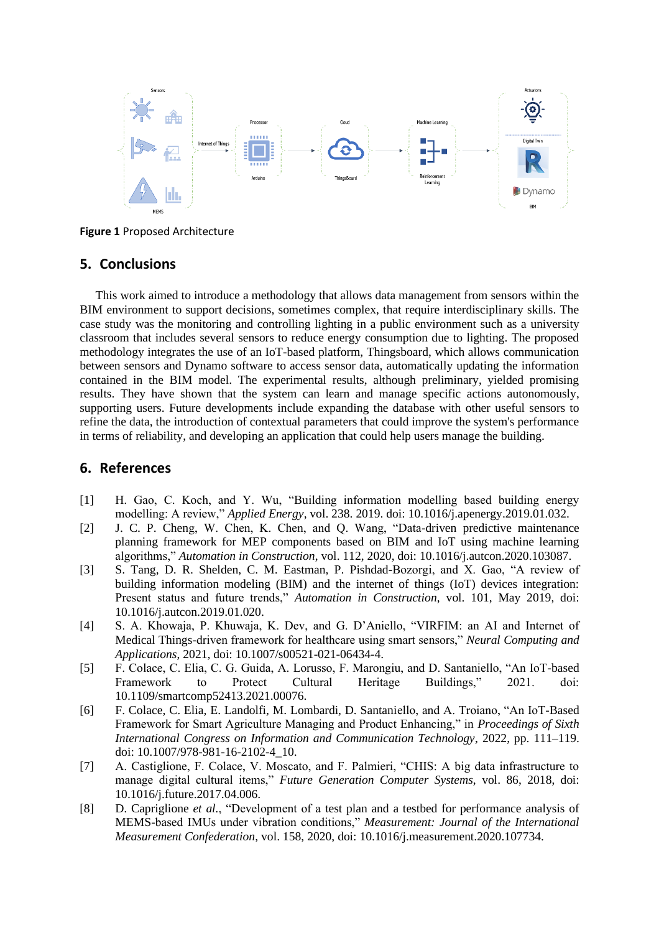

**Figure 1** Proposed Architecture

### **5. Conclusions**

This work aimed to introduce a methodology that allows data management from sensors within the BIM environment to support decisions, sometimes complex, that require interdisciplinary skills. The case study was the monitoring and controlling lighting in a public environment such as a university classroom that includes several sensors to reduce energy consumption due to lighting. The proposed methodology integrates the use of an IoT-based platform, Thingsboard, which allows communication between sensors and Dynamo software to access sensor data, automatically updating the information contained in the BIM model. The experimental results, although preliminary, yielded promising results. They have shown that the system can learn and manage specific actions autonomously, supporting users. Future developments include expanding the database with other useful sensors to refine the data, the introduction of contextual parameters that could improve the system's performance in terms of reliability, and developing an application that could help users manage the building.

# **6. References**

- [1] H. Gao, C. Koch, and Y. Wu, "Building information modelling based building energy modelling: A review," *Applied Energy*, vol. 238. 2019. doi: 10.1016/j.apenergy.2019.01.032.
- [2] J. C. P. Cheng, W. Chen, K. Chen, and Q. Wang, "Data-driven predictive maintenance planning framework for MEP components based on BIM and IoT using machine learning algorithms," *Automation in Construction*, vol. 112, 2020, doi: 10.1016/j.autcon.2020.103087.
- [3] S. Tang, D. R. Shelden, C. M. Eastman, P. Pishdad-Bozorgi, and X. Gao, "A review of building information modeling (BIM) and the internet of things (IoT) devices integration: Present status and future trends," *Automation in Construction*, vol. 101, May 2019, doi: 10.1016/j.autcon.2019.01.020.
- [4] S. A. Khowaja, P. Khuwaja, K. Dev, and G. D'Aniello, "VIRFIM: an AI and Internet of Medical Things-driven framework for healthcare using smart sensors," *Neural Computing and Applications*, 2021, doi: 10.1007/s00521-021-06434-4.
- [5] F. Colace, C. Elia, C. G. Guida, A. Lorusso, F. Marongiu, and D. Santaniello, "An IoT-based Framework to Protect Cultural Heritage Buildings," 2021. doi: 10.1109/smartcomp52413.2021.00076.
- [6] F. Colace, C. Elia, E. Landolfi, M. Lombardi, D. Santaniello, and A. Troiano, "An IoT-Based Framework for Smart Agriculture Managing and Product Enhancing," in *Proceedings of Sixth International Congress on Information and Communication Technology*, 2022, pp. 111–119. doi: 10.1007/978-981-16-2102-4\_10.
- [7] A. Castiglione, F. Colace, V. Moscato, and F. Palmieri, "CHIS: A big data infrastructure to manage digital cultural items," *Future Generation Computer Systems*, vol. 86, 2018, doi: 10.1016/j.future.2017.04.006.
- [8] D. Capriglione *et al.*, "Development of a test plan and a testbed for performance analysis of MEMS-based IMUs under vibration conditions," *Measurement: Journal of the International Measurement Confederation*, vol. 158, 2020, doi: 10.1016/j.measurement.2020.107734.